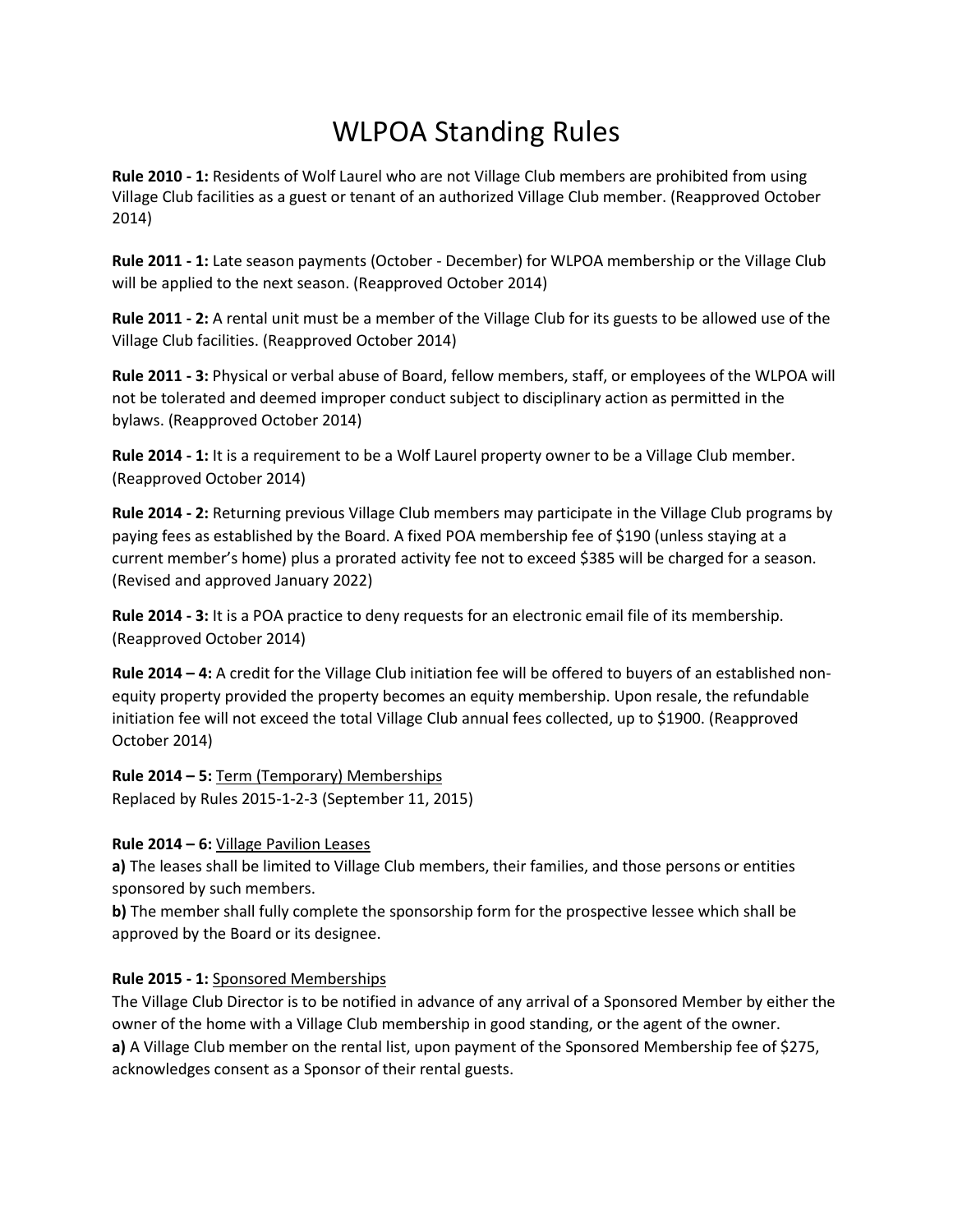# WLPOA Standing Rules

**Rule 2010 - 1:** Residents of Wolf Laurel who are not Village Club members are prohibited from using Village Club facilities as a guest or tenant of an authorized Village Club member. (Reapproved October 2014)

**Rule 2011 - 1:** Late season payments (October - December) for WLPOA membership or the Village Club will be applied to the next season. (Reapproved October 2014)

**Rule 2011 - 2:** A rental unit must be a member of the Village Club for its guests to be allowed use of the Village Club facilities. (Reapproved October 2014)

**Rule 2011 - 3:** Physical or verbal abuse of Board, fellow members, staff, or employees of the WLPOA will not be tolerated and deemed improper conduct subject to disciplinary action as permitted in the bylaws. (Reapproved October 2014)

**Rule 2014 - 1:** It is a requirement to be a Wolf Laurel property owner to be a Village Club member. (Reapproved October 2014)

**Rule 2014 - 2:** Returning previous Village Club members may participate in the Village Club programs by paying fees as established by the Board. A fixed POA membership fee of \$190 (unless staying at a current member's home) plus a prorated activity fee not to exceed \$385 will be charged for a season. (Revised and approved January 2022)

**Rule 2014 - 3:** It is a POA practice to deny requests for an electronic email file of its membership. (Reapproved October 2014)

**Rule 2014 – 4:** A credit for the Village Club initiation fee will be offered to buyers of an established nonequity property provided the property becomes an equity membership. Upon resale, the refundable initiation fee will not exceed the total Village Club annual fees collected, up to \$1900. (Reapproved October 2014)

**Rule 2014 – 5:** Term (Temporary) Memberships Replaced by Rules 2015-1-2-3 (September 11, 2015)

#### **Rule 2014 – 6:** Village Pavilion Leases

**a)** The leases shall be limited to Village Club members, their families, and those persons or entities sponsored by such members.

**b**) The member shall fully complete the sponsorship form for the prospective lessee which shall be approved by the Board or its designee.

## **Rule 2015 - 1:** Sponsored Memberships

The Village Club Director is to be notified in advance of any arrival of a Sponsored Member by either the owner of the home with a Village Club membership in good standing, or the agent of the owner. **a)** A Village Club member on the rental list, upon payment of the Sponsored Membership fee of \$275, acknowledges consent as a Sponsor of their rental guests.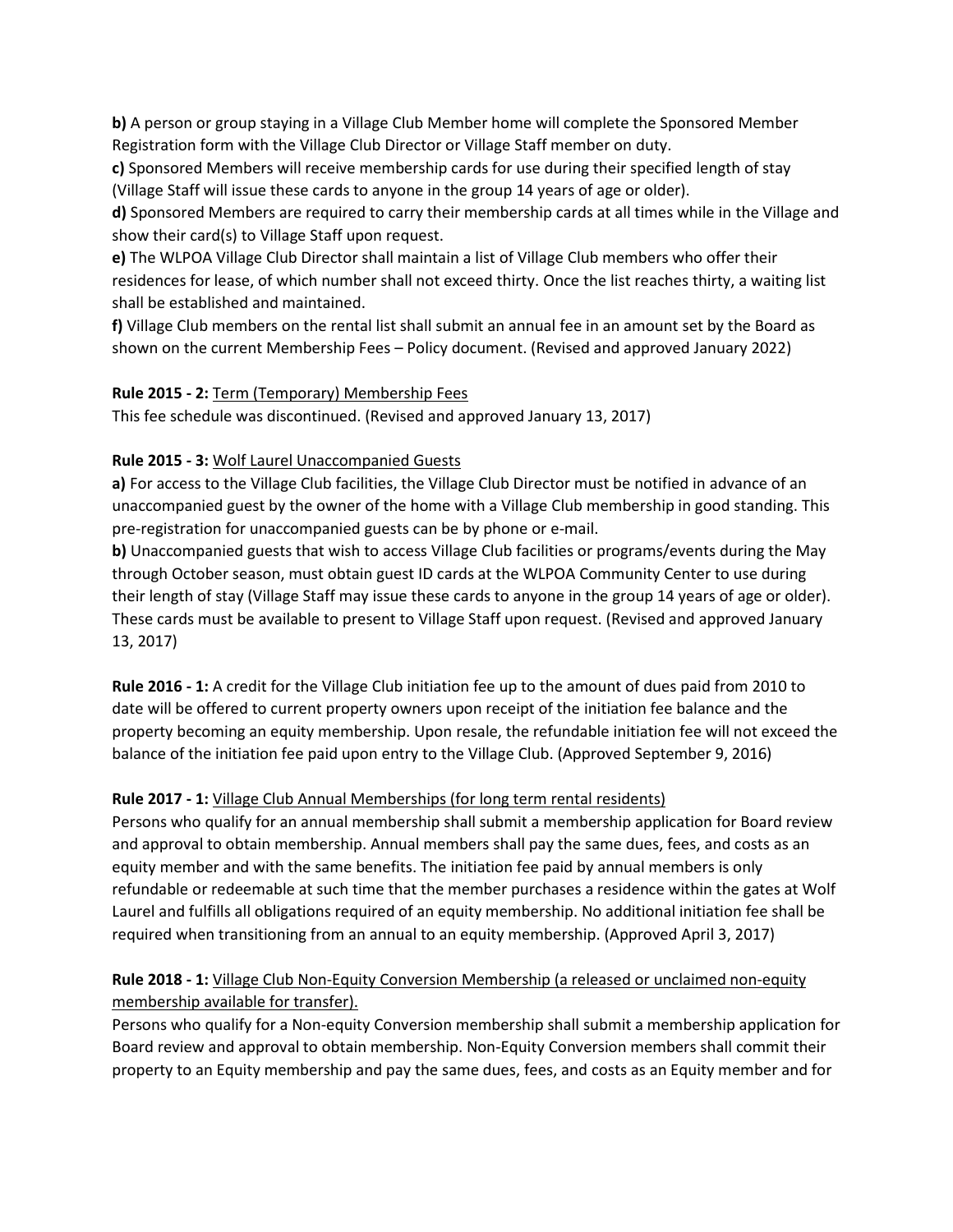**b**) A person or group staying in a Village Club Member home will complete the Sponsored Member Registration form with the Village Club Director or Village Staff member on duty.

**c)** Sponsored Members will receive membership cards for use during their specified length of stay (Village Staff will issue these cards to anyone in the group 14 years of age or older).

**d)** Sponsored Members are required to carry their membership cards at all times while in the Village and show their card(s) to Village Staff upon request.

**e)** The WLPOA Village Club Director shall maintain a list of Village Club members who offer their residences for lease, of which number shall not exceed thirty. Once the list reaches thirty, a waiting list shall be established and maintained.

**f)** Village Club members on the rental list shall submit an annual fee in an amount set by the Board as shown on the current Membership Fees – Policy document. (Revised and approved January 2022)

#### **Rule 2015 - 2:** Term (Temporary) Membership Fees

This fee schedule was discontinued. (Revised and approved January 13, 2017)

#### **Rule 2015 - 3:** Wolf Laurel Unaccompanied Guests

**a)** For access to the Village Club facilities, the Village Club Director must be notified in advance of an unaccompanied guest by the owner of the home with a Village Club membership in good standing. This pre-registration for unaccompanied guests can be by phone or e-mail.

**b)** Unaccompanied guests that wish to access Village Club facilities or programs/events during the May through October season, must obtain guest ID cards at the WLPOA Community Center to use during their length of stay (Village Staff may issue these cards to anyone in the group 14 years of age or older). These cards must be available to present to Village Staff upon request. (Revised and approved January 13, 2017)

**Rule 2016 - 1:** A credit for the Village Club initiation fee up to the amount of dues paid from 2010 to date will be offered to current property owners upon receipt of the initiation fee balance and the property becoming an equity membership. Upon resale, the refundable initiation fee will not exceed the balance of the initiation fee paid upon entry to the Village Club. (Approved September 9, 2016)

#### **Rule 2017 - 1:** Village Club Annual Memberships (for long term rental residents)

Persons who qualify for an annual membership shall submit a membership application for Board review and approval to obtain membership. Annual members shall pay the same dues, fees, and costs as an equity member and with the same benefits. The initiation fee paid by annual members is only refundable or redeemable at such time that the member purchases a residence within the gates at Wolf Laurel and fulfills all obligations required of an equity membership. No additional initiation fee shall be required when transitioning from an annual to an equity membership. (Approved April 3, 2017)

### **Rule 2018 - 1:** Village Club Non-Equity Conversion Membership (a released or unclaimed non-equity membership available for transfer).

Persons who qualify for a Non-equity Conversion membership shall submit a membership application for Board review and approval to obtain membership. Non-Equity Conversion members shall commit their property to an Equity membership and pay the same dues, fees, and costs as an Equity member and for